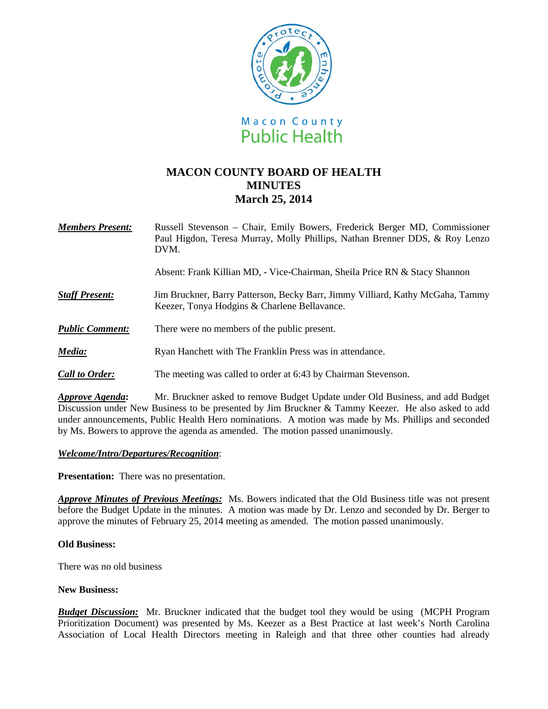

# **MACON COUNTY BOARD OF HEALTH MINUTES March 25, 2014**

*Members Present:* Russell Stevenson – Chair, Emily Bowers, Frederick Berger MD, Commissioner Paul Higdon, Teresa Murray, Molly Phillips, Nathan Brenner DDS, & Roy Lenzo DVM.

Absent: Frank Killian MD, - Vice-Chairman, Sheila Price RN & Stacy Shannon

- **Staff Present: Jim Bruckner, Barry Patterson, Becky Barr, Jimmy Villiard, Kathy McGaha, Tammy** Keezer, Tonya Hodgins & Charlene Bellavance.
- *Public Comment:* There were no members of the public present.
- *Media:* Ryan Hanchett with The Franklin Press was in attendance.
- *Call to Order:* The meeting was called to order at 6:43 by Chairman Stevenson.

*Approve Agenda***:** Mr. Bruckner asked to remove Budget Update under Old Business, and add Budget Discussion under New Business to be presented by Jim Bruckner & Tammy Keezer. He also asked to add under announcements, Public Health Hero nominations. A motion was made by Ms. Phillips and seconded by Ms. Bowers to approve the agenda as amended. The motion passed unanimously.

### *Welcome/Intro/Departures/Recognition*:

**Presentation:** There was no presentation.

*Approve Minutes of Previous Meetings:* Ms. Bowers indicated that the Old Business title was not present before the Budget Update in the minutes. A motion was made by Dr. Lenzo and seconded by Dr. Berger to approve the minutes of February 25, 2014 meeting as amended. The motion passed unanimously.

### **Old Business:**

There was no old business

### **New Business:**

*Budget Discussion:*Mr. Bruckner indicated that the budget tool they would be using (MCPH Program Prioritization Document) was presented by Ms. Keezer as a Best Practice at last week's North Carolina Association of Local Health Directors meeting in Raleigh and that three other counties had already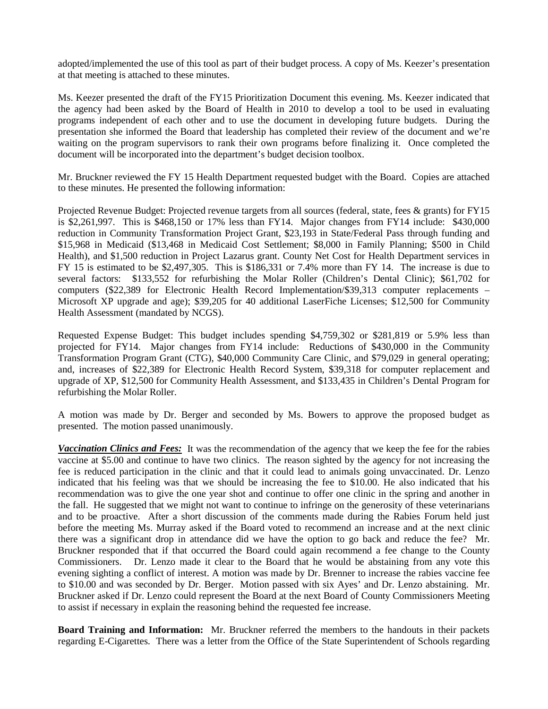adopted/implemented the use of this tool as part of their budget process. A copy of Ms. Keezer's presentation at that meeting is attached to these minutes.

Ms. Keezer presented the draft of the FY15 Prioritization Document this evening. Ms. Keezer indicated that the agency had been asked by the Board of Health in 2010 to develop a tool to be used in evaluating programs independent of each other and to use the document in developing future budgets. During the presentation she informed the Board that leadership has completed their review of the document and we're waiting on the program supervisors to rank their own programs before finalizing it. Once completed the document will be incorporated into the department's budget decision toolbox.

Mr. Bruckner reviewed the FY 15 Health Department requested budget with the Board. Copies are attached to these minutes. He presented the following information:

Projected Revenue Budget: Projected revenue targets from all sources (federal, state, fees & grants) for FY15 is \$2,261,997. This is \$468,150 or 17% less than FY14. Major changes from FY14 include: \$430,000 reduction in Community Transformation Project Grant, \$23,193 in State/Federal Pass through funding and \$15,968 in Medicaid (\$13,468 in Medicaid Cost Settlement; \$8,000 in Family Planning; \$500 in Child Health), and \$1,500 reduction in Project Lazarus grant. County Net Cost for Health Department services in FY 15 is estimated to be \$2,497,305. This is \$186,331 or 7.4% more than FY 14. The increase is due to several factors: \$133,552 for refurbishing the Molar Roller (Children's Dental Clinic); \$61,702 for computers (\$22,389 for Electronic Health Record Implementation/\$39,313 computer replacements – Microsoft XP upgrade and age); \$39,205 for 40 additional LaserFiche Licenses; \$12,500 for Community Health Assessment (mandated by NCGS).

Requested Expense Budget: This budget includes spending \$4,759,302 or \$281,819 or 5.9% less than projected for FY14. Major changes from FY14 include: Reductions of \$430,000 in the Community Transformation Program Grant (CTG), \$40,000 Community Care Clinic, and \$79,029 in general operating; and, increases of \$22,389 for Electronic Health Record System, \$39,318 for computer replacement and upgrade of XP, \$12,500 for Community Health Assessment, and \$133,435 in Children's Dental Program for refurbishing the Molar Roller.

A motion was made by Dr. Berger and seconded by Ms. Bowers to approve the proposed budget as presented. The motion passed unanimously.

*Vaccination Clinics and Fees:* It was the recommendation of the agency that we keep the fee for the rabies vaccine at \$5.00 and continue to have two clinics. The reason sighted by the agency for not increasing the fee is reduced participation in the clinic and that it could lead to animals going unvaccinated. Dr. Lenzo indicated that his feeling was that we should be increasing the fee to \$10.00. He also indicated that his recommendation was to give the one year shot and continue to offer one clinic in the spring and another in the fall. He suggested that we might not want to continue to infringe on the generosity of these veterinarians and to be proactive. After a short discussion of the comments made during the Rabies Forum held just before the meeting Ms. Murray asked if the Board voted to recommend an increase and at the next clinic there was a significant drop in attendance did we have the option to go back and reduce the fee? Mr. Bruckner responded that if that occurred the Board could again recommend a fee change to the County Commissioners. Dr. Lenzo made it clear to the Board that he would be abstaining from any vote this evening sighting a conflict of interest. A motion was made by Dr. Brenner to increase the rabies vaccine fee to \$10.00 and was seconded by Dr. Berger. Motion passed with six Ayes' and Dr. Lenzo abstaining. Mr. Bruckner asked if Dr. Lenzo could represent the Board at the next Board of County Commissioners Meeting to assist if necessary in explain the reasoning behind the requested fee increase.

**Board Training and Information:** Mr. Bruckner referred the members to the handouts in their packets regarding E-Cigarettes. There was a letter from the Office of the State Superintendent of Schools regarding